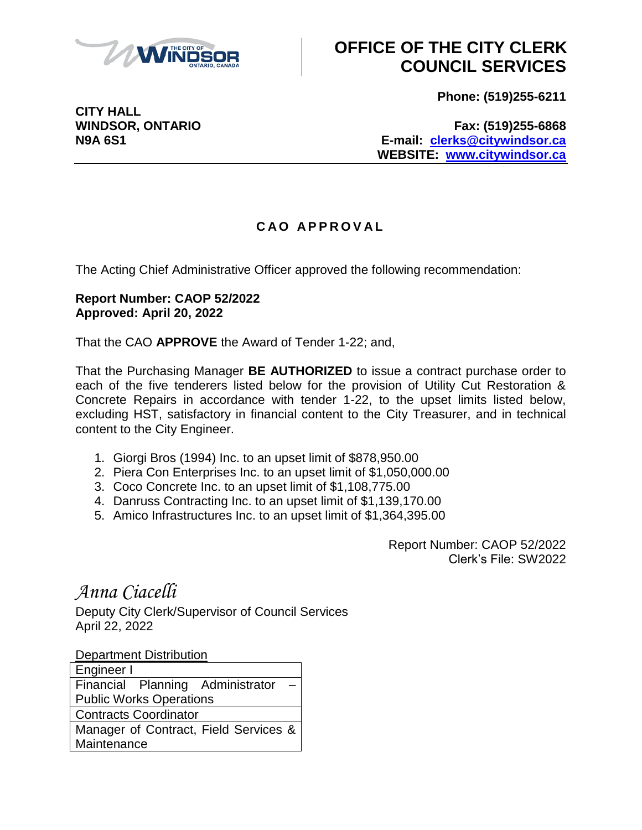

## **OFFICE OF THE CITY CLERK COUNCIL SERVICES**

**Phone: (519)255-6211**

**CITY HALL**

**WINDSOR, ONTARIO Fax: (519)255-6868 N9A 6S1 E-mail: [clerks@citywindsor.ca](mailto:clerks@citywindsor.ca) WEBSITE: [www.citywindsor.ca](http://www.citywindsor.ca/)**

## **C A O A P P R O V A L**

The Acting Chief Administrative Officer approved the following recommendation:

## **Report Number: CAOP 52/2022 Approved: April 20, 2022**

That the CAO **APPROVE** the Award of Tender 1-22; and,

That the Purchasing Manager **BE AUTHORIZED** to issue a contract purchase order to each of the five tenderers listed below for the provision of Utility Cut Restoration & Concrete Repairs in accordance with tender 1-22, to the upset limits listed below, excluding HST, satisfactory in financial content to the City Treasurer, and in technical content to the City Engineer.

- 1. Giorgi Bros (1994) Inc. to an upset limit of \$878,950.00
- 2. Piera Con Enterprises Inc. to an upset limit of \$1,050,000.00
- 3. Coco Concrete Inc. to an upset limit of \$1,108,775.00
- 4. Danruss Contracting Inc. to an upset limit of \$1,139,170.00
- 5. Amico Infrastructures Inc. to an upset limit of \$1,364,395.00

Report Number: CAOP 52/2022 Clerk's File: SW2022

*Anna Ciacelli*

Deputy City Clerk/Supervisor of Council Services April 22, 2022

Department Distribution

| Engineer I                            |  |                                  |  |
|---------------------------------------|--|----------------------------------|--|
|                                       |  | Financial Planning Administrator |  |
| <b>Public Works Operations</b>        |  |                                  |  |
| <b>Contracts Coordinator</b>          |  |                                  |  |
| Manager of Contract, Field Services & |  |                                  |  |
| Maintenance                           |  |                                  |  |